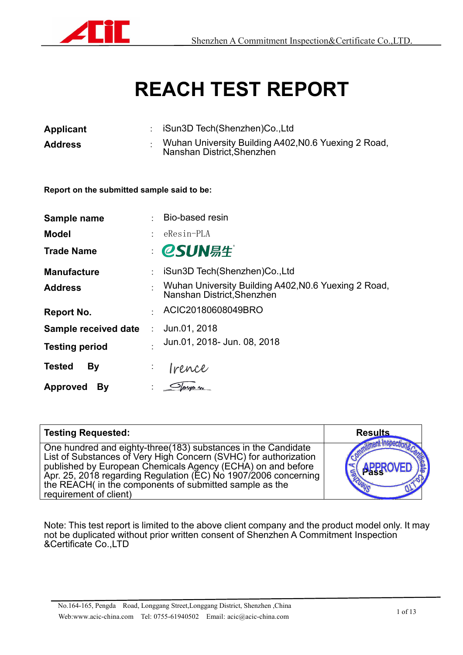

# **REACH TEST REPORT**

| Applicant      | iSun3D Tech(Shenzhen)Co.,Ltd                                                       |
|----------------|------------------------------------------------------------------------------------|
| <b>Address</b> | Wuhan University Building A402, NO.6 Yuexing 2 Road,<br>Nanshan District, Shenzhen |

**Report on the submitted sample said to be:**

| Sample name           | $\sim$ | Bio-based resin                                                                    |
|-----------------------|--------|------------------------------------------------------------------------------------|
| <b>Model</b>          |        | eResin-PLA                                                                         |
| <b>Trade Name</b>     |        | <b>CSUN</b> 易生                                                                     |
| <b>Manufacture</b>    |        | iSun3D Tech(Shenzhen)Co., Ltd                                                      |
| <b>Address</b>        |        | Wuhan University Building A402, N0.6 Yuexing 2 Road,<br>Nanshan District, Shenzhen |
| <b>Report No.</b>     |        | ACIC20180608049BRO                                                                 |
| Sample received date  | ÷.     | Jun.01, 2018                                                                       |
| <b>Testing period</b> |        | Jun.01, 2018- Jun. 08, 2018                                                        |
| <b>Tested</b><br>By   | ÷.     | Irence                                                                             |
| <b>Approved</b><br>By |        | Sloryo n                                                                           |

| <b>Testing Requested:</b>                                                                                                                                                                                                                                                                                                                                 | <b>Results</b>                                   |
|-----------------------------------------------------------------------------------------------------------------------------------------------------------------------------------------------------------------------------------------------------------------------------------------------------------------------------------------------------------|--------------------------------------------------|
| One hundred and eighty-three (183) substances in the Candidate<br>List of Substances of Very High Concern (SVHC) for authorization<br>published by European Chemicals Agency (ECHA) on and before<br>Apr. 25, 2018 regarding Regulation (EC) No 1907/2006 concerning<br>the REACH( in the components of submitted sample as the<br>requirement of client) | $\frac{1}{2}$<br>S APPROVED<br>$\omega_{\theta}$ |

Note: This test report is limited to the above client company and the product model only. It may not be duplicated without prior written consent of Shenzhen A Commitment Inspection &Certificate Co.,LTD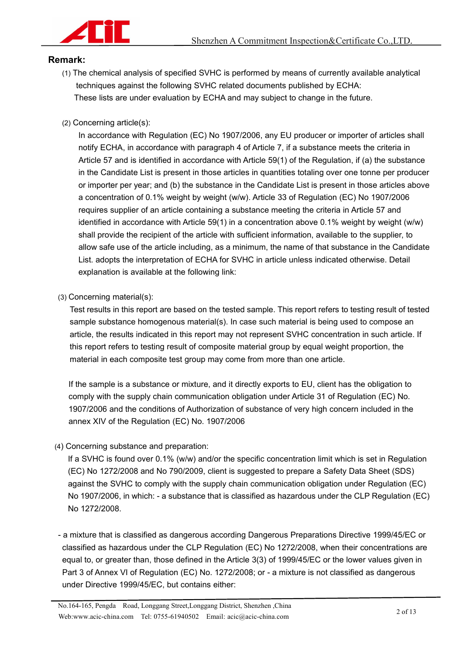

#### **Remark:**

- (1) The chemical analysis of specified SVHC is performed by means of currently available analytical techniques against the following SVHC related documents published by ECHA: These lists are under evaluation by ECHA and may subject to change in the future.
- (2) Concerning article(s):

In accordance with Regulation (EC) No 1907/2006, any EU producer or importer of articles shall notify ECHA, in accordance with paragraph 4 of Article 7, if a substance meets the criteria in Article 57 and is identified in accordance with Article 59(1) of the Regulation, if (a) the substance in the Candidate List is present in those articles in quantities totaling over one tonne per producer or importer per year; and (b) the substance in the Candidate List is present in those articles above a concentration of 0.1% weight by weight (w/w). Article 33 of Regulation (EC) No 1907/2006 requires supplier of an article containing a substance meeting the criteria in Article 57 and identified in accordance with Article 59(1) in a concentration above 0.1% weight by weight (w/w) shall provide the recipient of the article with sufficient information, available to the supplier, to allow safe use of the article including, as a minimum, the name of that substance in the Candidate List. adopts the interpretation of ECHA for SVHC in article unless indicated otherwise. Detail explanation is available at the following link:

(3) Concerning material(s):

Test results in this report are based on the tested sample. This report refers to testing result of tested sample substance homogenous material(s). In case such material is being used to compose an article, the results indicated in this report may not represent SVHC concentration in such article. If this report refers to testing result of composite material group by equal weight proportion, the material in each composite test group may come from more than one article.

If the sample is a substance or mixture, and it directly exports to EU, client has the obligation to comply with the supply chain communication obligation under Article 31 of Regulation (EC) No. 1907/2006 and the conditions of Authorization of substance of very high concern included in the annex XIV of the Regulation (EC) No. 1907/2006

(4) Concerning substance and preparation:

If a SVHC is found over 0.1% (w/w) and/or the specific concentration limit which is set in Regulation (EC) No 1272/2008 and No 790/2009, client is suggested to prepare a Safety Data Sheet (SDS) against the SVHC to comply with the supply chain communication obligation under Regulation (EC) No 1907/2006, in which: - a substance that is classified as hazardous under the CLP Regulation (EC) No 1272/2008.<br>- a mixture that is classified as dangerous according Dangerous Preparations Directive 1999/45/EC or

classified as hazardous under the CLP Regulation (EC) No 1272/2008, when their concentrations are equal to, or greater than, those defined in the Article 3(3) of 1999/45/EC or the lower values given in Part 3 of Annex VI of Regulation (EC) No. 1272/2008; or - a mixture is not classified as dangerous under Directive 1999/45/EC, but contains either: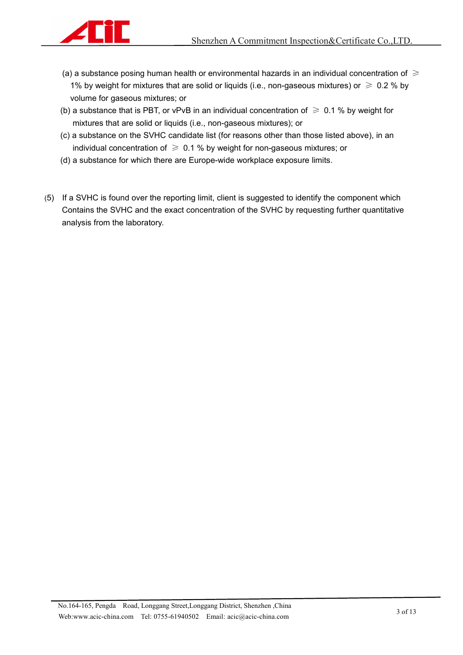

- (a) a substance posing human health or environmental hazards in an individual concentration of  $\geq$ 1% by weight for mixtures that are solid or liquids (i.e., non-gaseous mixtures) or  $\geq 0.2$  % by volume for gaseous mixtures; or
- (b) a substance that is PBT, or vPvB in an individual concentration of  $\geq 0.1$  % by weight for mixtures that are solid or liquids (i.e., non-gaseous mixtures); or
- (c) a substance on the SVHC candidate list (for reasons other than those listed above), in an individual concentration of  $\geqslant$  0.1 % by weight for non-gaseous mixtures; or
- (d) a substance for which there are Europe-wide workplace exposure limits.
- (5) If a SVHC is found over the reporting limit, client is suggested to identify the componentwhich Contains the SVHC and the exact concentration of the SVHC by requesting further quantitative analysis from the laboratory.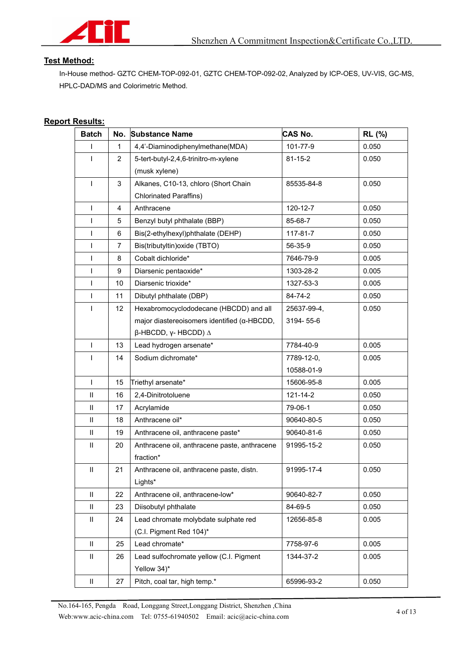

#### **Test Method:**

In-House method- GZTC CHEM-TOP-092-01, GZTC CHEM-TOP-092-02, Analyzed by ICP-OES, UV-VIS, GC-MS, HPLC-DAD/MS and Colorimetric Method.

#### **Report Results:**

| <b>Batch</b>               |                         | No. Substance Name                                        | CAS No.        | <b>RL</b> (%) |
|----------------------------|-------------------------|-----------------------------------------------------------|----------------|---------------|
|                            | 1                       | 4,4'-Diaminodiphenylmethane(MDA)                          | 101-77-9       | 0.050         |
| ı                          | $\overline{2}$          | 5-tert-butyl-2,4,6-trinitro-m-xylene                      | $81 - 15 - 2$  | 0.050         |
|                            |                         | (musk xylene)                                             |                |               |
| $\mathbf{I}$               | 3                       | Alkanes, C10-13, chloro (Short Chain                      | 85535-84-8     | 0.050         |
|                            |                         | <b>Chlorinated Paraffins)</b>                             |                |               |
| $\mathbf{I}$               | $\overline{\mathbf{4}}$ | Anthracene                                                | 120-12-7       | 0.050         |
| $\mathsf{I}$               | 5                       | Benzyl butyl phthalate (BBP)                              | 85-68-7        | 0.050         |
| ı                          | 6                       | Bis(2-ethylhexyl)phthalate (DEHP)                         | 117-81-7       | 0.050         |
| $\mathsf{I}$               | 7                       | Bis(tributyltin) oxide (TBTO)                             | 56-35-9        | 0.050         |
| $\mathsf{I}$               | 8                       | Cobalt dichloride*                                        | 7646-79-9      | 0.005         |
| I                          | 9                       | Diarsenic pentaoxide*                                     | 1303-28-2      | 0.005         |
| $\overline{\phantom{a}}$   | 10                      | Diarsenic trioxide*                                       | 1327-53-3      | 0.005         |
| $\mathsf{I}$               | 11                      | Dibutyl phthalate (DBP)                                   | 84-74-2        | 0.050         |
| ı                          | 12                      | Hexabromocyclododecane (HBCDD) and all                    | 25637-99-4,    | 0.050         |
|                            |                         | major diastereoisomers identified ( $\alpha$ -HBCDD,      | 3194-55-6      |               |
|                            |                         | $β$ -HBCDD, γ- HBCDD) Δ                                   |                |               |
| ı                          | 13                      | Lead hydrogen arsenate*                                   | 7784-40-9      | 0.005         |
| $\mathsf{I}$               | 14                      | Sodium dichromate*                                        | 7789-12-0,     | 0.005         |
|                            |                         |                                                           | 10588-01-9     |               |
| $\mathbf{I}$               | 15                      | Triethyl arsenate*                                        | 15606-95-8     | 0.005         |
| $\ensuremath{\mathsf{II}}$ | 16                      | 2,4-Dinitrotoluene                                        | $121 - 14 - 2$ | 0.050         |
| $\rm H$                    | 17                      | Acrylamide                                                | 79-06-1        | 0.050         |
| Ш                          | 18                      | Anthracene oil*                                           | 90640-80-5     | 0.050         |
| $\ensuremath{\mathsf{II}}$ | 19                      | Anthracene oil, anthracene paste*                         | 90640-81-6     | 0.050         |
| $\rm H$                    | 20                      | Anthracene oil, anthracene paste, anthracene<br>fraction* | 91995-15-2     | 0.050         |
| $\ensuremath{\mathsf{II}}$ | 21                      | Anthracene oil, anthracene paste, distn.<br>Lights*       | 91995-17-4     | 0.050         |
| $\mathbf{II}$              | 22                      | Anthracene oil, anthracene-low*                           | 90640-82-7     | 0.050         |
| $\ensuremath{\mathsf{II}}$ | 23                      | Diisobutyl phthalate                                      | 84-69-5        | 0.050         |
| $\ensuremath{\mathsf{II}}$ | 24                      | Lead chromate molybdate sulphate red                      | 12656-85-8     | 0.005         |
|                            |                         | (C.I. Pigment Red 104)*                                   |                |               |
| $\rm H$                    | 25                      | Lead chromate*                                            | 7758-97-6      | 0.005         |
| $\ensuremath{\mathsf{II}}$ | 26                      | Lead sulfochromate yellow (C.I. Pigment                   | 1344-37-2      | 0.005         |
|                            |                         | Yellow 34)*                                               |                |               |
| $\ensuremath{\mathsf{II}}$ | 27                      | Pitch, coal tar, high temp.*                              | 65996-93-2     | 0.050         |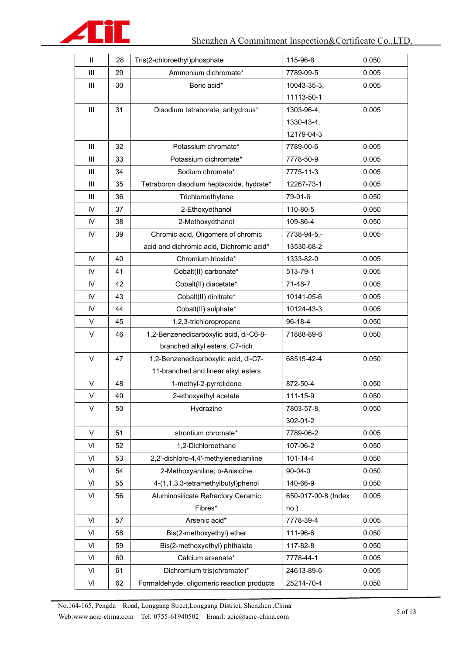

| $\ensuremath{\mathsf{II}}$ | 28 | Tris(2-chloroethyl)phosphate               | 115-96-8            | 0.050 |
|----------------------------|----|--------------------------------------------|---------------------|-------|
| Ш                          | 29 | Ammonium dichromate*                       | 7789-09-5           | 0.005 |
| Ш                          | 30 | Boric acid*                                | 10043-35-3,         | 0.005 |
|                            |    |                                            | 11113-50-1          |       |
| Ш                          | 31 | Disodium tetraborate, anhydrous*           | 1303-96-4,          | 0.005 |
|                            |    |                                            | 1330-43-4,          |       |
|                            |    |                                            | 12179-04-3          |       |
| Ш                          | 32 | Potassium chromate*                        | 7789-00-6           | 0.005 |
| Ш                          | 33 | Potassium dichromate*                      | 7778-50-9           | 0.005 |
| Ш                          | 34 | Sodium chromate*                           | 7775-11-3           | 0.005 |
| Ш                          | 35 | Tetraboron disodium heptaoxide, hydrate*   | 12267-73-1          | 0.005 |
| Ш                          | 36 | Trichloroethylene                          | 79-01-6             | 0.050 |
| $\mathsf{IV}$              | 37 | 2-Ethoxyethanol                            | 110-80-5            | 0.050 |
| IV                         | 38 | 2-Methoxyethanol                           | 109-86-4            | 0.050 |
| IV                         | 39 | Chromic acid, Oligomers of chromic         | 7738-94-5,-         | 0.005 |
|                            |    | acid and dichromic acid, Dichromic acid*   | 13530-68-2          |       |
| IV                         | 40 | Chromium trioxide*                         | 1333-82-0           | 0.005 |
| IV                         | 41 | Cobalt(II) carbonate*                      | 513-79-1            | 0.005 |
| $\mathsf{IV}$              | 42 | Cobalt(II) diacetate*                      | 71-48-7             | 0.005 |
| IV                         | 43 | Cobalt(II) dinitrate*                      | 10141-05-6          | 0.005 |
| $\mathsf{IV}$              | 44 | Cobalt(II) sulphate*                       | 10124-43-3          | 0.005 |
| $\vee$                     | 45 | 1,2,3-trichloropropane                     | 96-18-4             | 0.050 |
| V                          | 46 | 1,2-Benzenedicarboxylic acid, di-C6-8-     | 71888-89-6          | 0.050 |
|                            |    | branched alkyl esters, C7-rich             |                     |       |
| $\vee$                     | 47 | 1,2-Benzenedicarboxylic acid, di-C7-       | 68515-42-4          | 0.050 |
|                            |    | 11-branched and linear alkyl esters        |                     |       |
| $\vee$                     | 48 | 1-methyl-2-pyrrolidone                     | 872-50-4            | 0.050 |
| $\vee$                     | 49 | 2-ethoxyethyl acetate                      | 111-15-9            | 0.050 |
| V                          | 50 | Hydrazine                                  | 7803-57-8,          | 0.050 |
|                            |    |                                            | 302-01-2            |       |
| $\vee$                     | 51 | strontium chromate*                        | 7789-06-2           | 0.005 |
| VI                         | 52 | 1,2-Dichloroethane                         | 107-06-2            | 0.050 |
| VI                         | 53 | 2,2'-dichloro-4,4'-methylenedianiline      | $101 - 14 - 4$      | 0.050 |
| VI                         | 54 | 2-Methoxyaniline; o-Anisidine              | $90 - 04 - 0$       | 0.050 |
| VI                         | 55 | 4-(1,1,3,3-tetramethylbutyl)phenol         | 140-66-9            | 0.050 |
| VI                         | 56 | Aluminosilicate Refractory Ceramic         | 650-017-00-8 (Index | 0.005 |
|                            |    | Fibres*                                    | no.)                |       |
| VI                         | 57 | Arsenic acid*                              | 7778-39-4           | 0.005 |
| VI                         | 58 | Bis(2-methoxyethyl) ether                  | 111-96-6            | 0.050 |
| VI                         | 59 | Bis(2-methoxyethyl) phthalate              | 117-82-8            | 0.050 |
| VI                         | 60 | Calcium arsenate*                          | 7778-44-1           | 0.005 |
| VI                         | 61 | Dichromium tris(chromate)*                 | 24613-89-6          | 0.005 |
| VI                         | 62 | Formaldehyde, oligomeric reaction products | 25214-70-4          | 0.050 |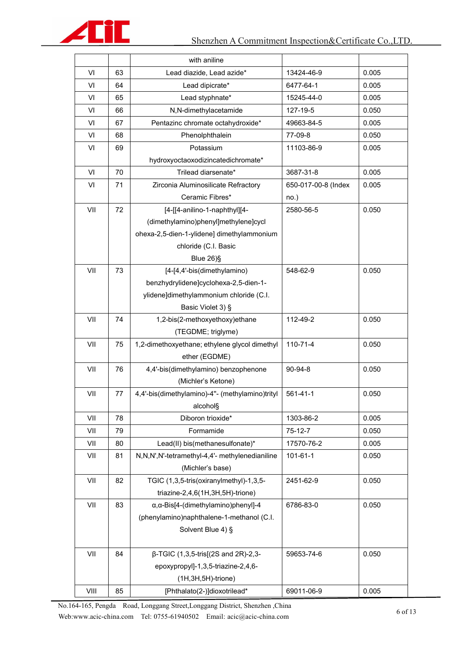

|                                       |    | with aniline                                        |                     |       |
|---------------------------------------|----|-----------------------------------------------------|---------------------|-------|
| VI<br>63<br>Lead diazide, Lead azide* |    | 13424-46-9                                          | 0.005               |       |
| VI                                    | 64 | Lead dipicrate*                                     | 6477-64-1           | 0.005 |
| VI                                    | 65 | Lead styphnate*                                     | 15245-44-0          | 0.005 |
| VI                                    | 66 | N,N-dimethylacetamide                               | 127-19-5            | 0.050 |
| VI                                    | 67 | Pentazinc chromate octahydroxide*                   | 49663-84-5          | 0.005 |
| VI                                    | 68 | Phenolphthalein                                     | 77-09-8             | 0.050 |
| VI                                    | 69 | Potassium                                           | 11103-86-9          | 0.005 |
|                                       |    | hydroxyoctaoxodizincatedichromate*                  |                     |       |
| VI                                    | 70 | Trilead diarsenate*                                 | 3687-31-8           | 0.005 |
| VI                                    | 71 | Zirconia Aluminosilicate Refractory                 | 650-017-00-8 (Index | 0.005 |
|                                       |    | Ceramic Fibres*                                     | no.)                |       |
| VII                                   | 72 | [4-[[4-anilino-1-naphthyl][4-                       | 2580-56-5           | 0.050 |
|                                       |    | (dimethylamino)phenyl]methylene]cycl                |                     |       |
|                                       |    | ohexa-2,5-dien-1-ylidene] dimethylammonium          |                     |       |
|                                       |    | chloride (C.I. Basic                                |                     |       |
|                                       |    | Blue 26)§                                           |                     |       |
| VII                                   | 73 | [4-[4,4'-bis(dimethylamino)                         | 548-62-9            | 0.050 |
|                                       |    | benzhydrylidene]cyclohexa-2,5-dien-1-               |                     |       |
|                                       |    | ylidene]dimethylammonium chloride (C.I.             |                     |       |
|                                       |    | Basic Violet 3) §                                   |                     |       |
| VII                                   | 74 | 1,2-bis(2-methoxyethoxy)ethane                      | 112-49-2            | 0.050 |
|                                       |    | (TEGDME; triglyme)                                  |                     |       |
| VII                                   | 75 | 1,2-dimethoxyethane; ethylene glycol dimethyl       | $110 - 71 - 4$      | 0.050 |
|                                       |    | ether (EGDME)                                       |                     |       |
| VII                                   | 76 | 4,4'-bis(dimethylamino) benzophenone                | 90-94-8             | 0.050 |
|                                       |    | (Michler's Ketone)                                  |                     |       |
| VII                                   | 77 | 4,4'-bis(dimethylamino)-4"- (methylamino)trityl     | $561 - 41 - 1$      | 0.050 |
|                                       |    | alcohol§                                            |                     |       |
| VII                                   | 78 | Diboron trioxide*                                   | 1303-86-2           | 0.005 |
| VII                                   | 79 | Formamide                                           | $75-12-7$           | 0.050 |
| VII                                   | 80 | Lead(II) bis(methanesulfonate)*                     | 17570-76-2          | 0.005 |
| VII                                   | 81 | N,N,N',N'-tetramethyl-4,4'- methylenedianiline      | 101-61-1            | 0.050 |
|                                       |    | (Michler's base)                                    |                     |       |
| VII                                   | 82 | TGIC (1,3,5-tris(oxiranylmethyl)-1,3,5-             | 2451-62-9           | 0.050 |
|                                       |    | triazine-2,4,6(1H,3H,5H)-trione)                    |                     |       |
| VII                                   | 83 | $\alpha$ , $\alpha$ -Bis[4-(dimethylamino)phenyl]-4 | 6786-83-0           | 0.050 |
|                                       |    | (phenylamino)naphthalene-1-methanol (C.I.           |                     |       |
|                                       |    | Solvent Blue 4) §                                   |                     |       |
|                                       |    |                                                     |                     |       |
| VII                                   | 84 | $β$ -TGIC (1,3,5-tris[(2S and 2R)-2,3-              | 59653-74-6          | 0.050 |
|                                       |    | epoxypropyl]-1,3,5-triazine-2,4,6-                  |                     |       |
|                                       |    | $(1H, 3H, 5H)$ -trione)                             |                     |       |
| VIII                                  | 85 | [Phthalato(2-)]dioxotrilead*                        | 69011-06-9          | 0.005 |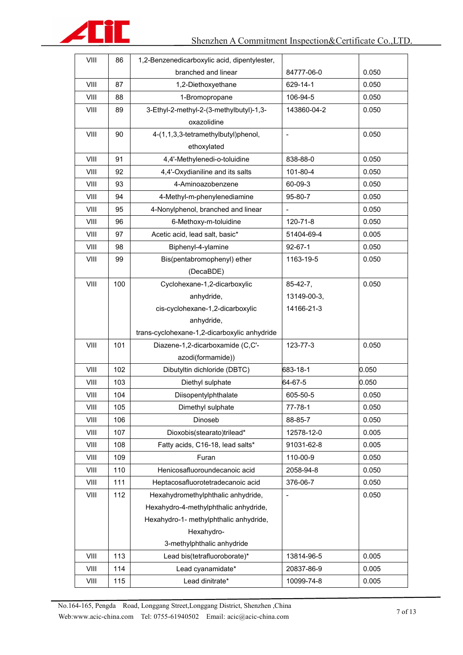

| VIII | 86                  | 1,2-Benzenedicarboxylic acid, dipentylester, |                          |       |
|------|---------------------|----------------------------------------------|--------------------------|-------|
|      | branched and linear |                                              | 84777-06-0               | 0.050 |
| VIII | 87                  | 1,2-Diethoxyethane                           | 629-14-1                 | 0.050 |
| VIII | 88                  | 1-Bromopropane                               | 106-94-5                 | 0.050 |
| VIII | 89                  | 3-Ethyl-2-methyl-2-(3-methylbutyl)-1,3-      | 143860-04-2              | 0.050 |
|      |                     | oxazolidine                                  |                          |       |
| VIII | 90                  | 4-(1,1,3,3-tetramethylbutyl)phenol,          | $\overline{\phantom{a}}$ | 0.050 |
|      |                     | ethoxylated                                  |                          |       |
| VIII | 91                  | 4,4'-Methylenedi-o-toluidine                 | 838-88-0                 | 0.050 |
| VIII | 92                  | 4,4'-Oxydianiline and its salts              | 101-80-4                 | 0.050 |
| VIII | 93                  | 4-Aminoazobenzene                            | 60-09-3                  | 0.050 |
| VIII | 94                  | 4-Methyl-m-phenylenediamine                  | 95-80-7                  | 0.050 |
| VIII | 95                  | 4-Nonylphenol, branched and linear           |                          | 0.050 |
| VIII | 96                  | 6-Methoxy-m-toluidine                        | 120-71-8                 | 0.050 |
| VIII | 97                  | Acetic acid, lead salt, basic*               | 51404-69-4               | 0.005 |
| VIII | 98                  | Biphenyl-4-ylamine                           | $92 - 67 - 1$            | 0.050 |
| VIII | 99                  | Bis(pentabromophenyl) ether                  | 1163-19-5                | 0.050 |
|      |                     | (DecaBDE)                                    |                          |       |
| VIII | 100                 | Cyclohexane-1,2-dicarboxylic                 | $85-42-7,$               | 0.050 |
|      |                     | anhydride,                                   | 13149-00-3,              |       |
|      |                     | cis-cyclohexane-1,2-dicarboxylic             | 14166-21-3               |       |
|      |                     | anhydride,                                   |                          |       |
|      |                     | trans-cyclohexane-1,2-dicarboxylic anhydride |                          |       |
| VIII | 101                 | Diazene-1,2-dicarboxamide (C,C'-             | 123-77-3                 | 0.050 |
|      |                     | azodi(formamide))                            |                          |       |
| VIII | 102                 | Dibutyltin dichloride (DBTC)                 | 683-18-1                 | 0.050 |
| VIII | 103                 | Diethyl sulphate                             | 64-67-5                  | 0.050 |
| VIII | 104                 | Diisopentylphthalate                         | 605-50-5                 | 0.050 |
| VIII | 105                 | Dimethyl sulphate                            | $77 - 78 - 1$            | 0.050 |
| VIII | 106                 | Dinoseb                                      | 88-85-7                  | 0.050 |
| VIII | 107                 | Dioxobis(stearato)trilead*                   | 12578-12-0               | 0.005 |
| VIII | 108                 | Fatty acids, C16-18, lead salts*             | 91031-62-8               | 0.005 |
| VIII | 109                 | Furan                                        | 110-00-9                 | 0.050 |
| VIII | 110                 | Henicosafluoroundecanoic acid                | 2058-94-8                | 0.050 |
| VIII | 111                 | Heptacosafluorotetradecanoic acid            | 376-06-7                 | 0.050 |
| VIII | 112                 | Hexahydromethylphthalic anhydride,           |                          | 0.050 |
|      |                     | Hexahydro-4-methylphthalic anhydride,        |                          |       |
|      |                     | Hexahydro-1- methylphthalic anhydride,       |                          |       |
|      |                     | Hexahydro-                                   |                          |       |
|      |                     | 3-methylphthalic anhydride                   |                          |       |
| VIII | 113                 | Lead bis(tetrafluoroborate)*                 | 13814-96-5               | 0.005 |
| VIII | 114                 | Lead cyanamidate*                            | 20837-86-9               | 0.005 |
| VIII | 115                 | Lead dinitrate*                              | 10099-74-8               | 0.005 |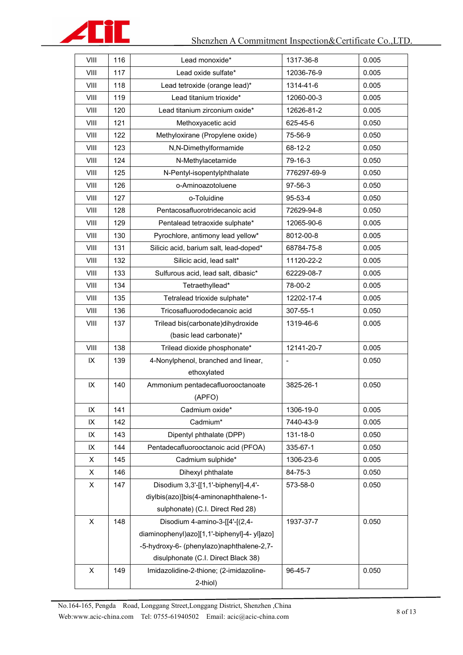

| VIII           | 116 | Lead monoxide*                              | 1317-36-8      | 0.005 |
|----------------|-----|---------------------------------------------|----------------|-------|
| VIII           | 117 | Lead oxide sulfate*                         | 12036-76-9     | 0.005 |
| VIII           | 118 | Lead tetroxide (orange lead)*               | 1314-41-6      | 0.005 |
| VIII           | 119 | Lead titanium trioxide*                     | 12060-00-3     | 0.005 |
| VIII           | 120 | Lead titanium zirconium oxide*              | 12626-81-2     | 0.005 |
| VIII           | 121 | Methoxyacetic acid                          | 625-45-6       | 0.050 |
| VIII           | 122 | Methyloxirane (Propylene oxide)             | 75-56-9        | 0.050 |
| VIII           | 123 | N,N-Dimethylformamide                       | 68-12-2        | 0.050 |
| VIII           | 124 | N-Methylacetamide                           | 79-16-3        | 0.050 |
| VIII           | 125 | N-Pentyl-isopentylphthalate                 | 776297-69-9    | 0.050 |
| VIII           | 126 | o-Aminoazotoluene                           | 97-56-3        | 0.050 |
| VIII           | 127 | o-Toluidine                                 | 95-53-4        | 0.050 |
| VIII           | 128 | Pentacosafluorotridecanoic acid             | 72629-94-8     | 0.050 |
| VIII           | 129 | Pentalead tetraoxide sulphate*              | 12065-90-6     | 0.005 |
| VIII           | 130 | Pyrochlore, antimony lead yellow*           | 8012-00-8      | 0.005 |
| VIII           | 131 | Silicic acid, barium salt, lead-doped*      | 68784-75-8     | 0.005 |
| VIII           | 132 | Silicic acid, lead salt*                    | 11120-22-2     | 0.005 |
| VIII           | 133 | Sulfurous acid, lead salt, dibasic*         | 62229-08-7     | 0.005 |
| VIII           | 134 | Tetraethyllead*                             | 78-00-2        | 0.005 |
| VIII           | 135 | Tetralead trioxide sulphate*                | 12202-17-4     | 0.005 |
| VIII           | 136 | Tricosafluorododecanoic acid                | 307-55-1       | 0.050 |
| VIII           | 137 | Trilead bis(carbonate)dihydroxide           | 1319-46-6      | 0.005 |
|                |     | (basic lead carbonate)*                     |                |       |
| VIII           | 138 | Trilead dioxide phosphonate*                | 12141-20-7     | 0.005 |
| IX             | 139 | 4-Nonylphenol, branched and linear,         | $\overline{a}$ | 0.050 |
|                |     | ethoxylated                                 |                |       |
| IX             | 140 | Ammonium pentadecafluorooctanoate           | 3825-26-1      | 0.050 |
|                |     | (APFO)                                      |                |       |
| IX             | 141 | Cadmium oxide*                              | 1306-19-0      | 0.005 |
| IX             | 142 | Cadmium*                                    | 7440-43-9      | 0.005 |
| IX             | 143 | Dipentyl phthalate (DPP)                    | 131-18-0       | 0.050 |
| IX             | 144 | Pentadecafluorooctanoic acid (PFOA)         | 335-67-1       | 0.050 |
| X              | 145 | Cadmium sulphide*                           | 1306-23-6      | 0.005 |
| X              | 146 | Dihexyl phthalate                           | 84-75-3        | 0.050 |
| X              | 147 | Disodium 3,3'-[[1,1'-biphenyl]-4,4'-        | 573-58-0       | 0.050 |
|                |     | diylbis(azo)]bis(4-aminonaphthalene-1-      |                |       |
|                |     | sulphonate) (C.I. Direct Red 28)            |                |       |
| $\mathsf X$    | 148 | Disodium 4-amino-3-[[4'-[(2,4-              | 1937-37-7      | 0.050 |
|                |     | diaminophenyl)azo][1,1'-biphenyl]-4-yl]azo] |                |       |
|                |     | -5-hydroxy-6- (phenylazo)naphthalene-2,7-   |                |       |
|                |     | disulphonate (C.I. Direct Black 38)         |                |       |
| $\pmb{\times}$ | 149 | Imidazolidine-2-thione; (2-imidazoline-     | 96-45-7        | 0.050 |
|                |     | 2-thiol)                                    |                |       |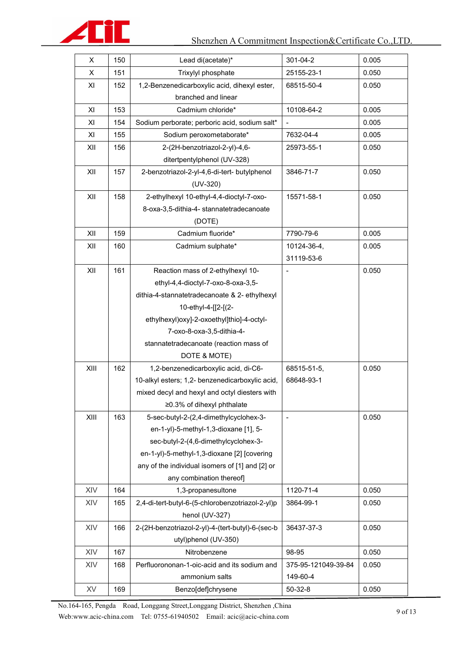

| X    | 150                 | Lead di(acetate)*                                | 301-04-2            | 0.005 |
|------|---------------------|--------------------------------------------------|---------------------|-------|
| X    | 151                 | Trixylyl phosphate                               | 25155-23-1          | 0.050 |
| XI   | 152                 | 1,2-Benzenedicarboxylic acid, dihexyl ester,     | 68515-50-4          | 0.050 |
|      | branched and linear |                                                  |                     |       |
| XI   | 153                 | Cadmium chloride*                                | 10108-64-2          | 0.005 |
| XI   | 154                 | Sodium perborate; perboric acid, sodium salt*    |                     | 0.005 |
| XI   | 155                 | Sodium peroxometaborate*                         | 7632-04-4           | 0.005 |
| XII  | 156                 | 2-(2H-benzotriazol-2-yl)-4,6-                    | 25973-55-1          | 0.050 |
|      |                     | ditertpentylphenol (UV-328)                      |                     |       |
| XII  | 157                 | 2-benzotriazol-2-yl-4,6-di-tert- butylphenol     | 3846-71-7           | 0.050 |
|      |                     | $(UV-320)$                                       |                     |       |
| XII  | 158                 | 2-ethylhexyl 10-ethyl-4,4-dioctyl-7-oxo-         | 15571-58-1          | 0.050 |
|      |                     | 8-oxa-3,5-dithia-4- stannatetradecanoate         |                     |       |
|      |                     | (DOTE)                                           |                     |       |
| XII  | 159                 | Cadmium fluoride*                                | 7790-79-6           | 0.005 |
| XII  | 160                 | Cadmium sulphate*                                | 10124-36-4,         | 0.005 |
|      |                     |                                                  | 31119-53-6          |       |
| XII  | 161                 | Reaction mass of 2-ethylhexyl 10-                |                     | 0.050 |
|      |                     | ethyl-4,4-dioctyl-7-oxo-8-oxa-3,5-               |                     |       |
|      |                     | dithia-4-stannatetradecanoate & 2- ethylhexyl    |                     |       |
|      |                     | 10-ethyl-4-[[2-[(2-                              |                     |       |
|      |                     | ethylhexyl)oxy]-2-oxoethyl]thio]-4-octyl-        |                     |       |
|      |                     | 7-oxo-8-oxa-3,5-dithia-4-                        |                     |       |
|      |                     | stannatetradecanoate (reaction mass of           |                     |       |
|      |                     | DOTE & MOTE)                                     |                     |       |
| XIII | 162                 | 1,2-benzenedicarboxylic acid, di-C6-             | 68515-51-5,         | 0.050 |
|      |                     | 10-alkyl esters; 1,2- benzenedicarboxylic acid,  | 68648-93-1          |       |
|      |                     | mixed decyl and hexyl and octyl diesters with    |                     |       |
|      |                     | ≥0.3% of dihexyl phthalate                       |                     |       |
| XIII | 163                 | 5-sec-butyl-2-(2,4-dimethylcyclohex-3-           |                     | 0.050 |
|      |                     | en-1-yl)-5-methyl-1,3-dioxane [1], 5-            |                     |       |
|      |                     | sec-butyl-2-(4,6-dimethylcyclohex-3-             |                     |       |
|      |                     | en-1-yl)-5-methyl-1,3-dioxane [2] [covering      |                     |       |
|      |                     | any of the individual isomers of [1] and [2] or  |                     |       |
|      |                     | any combination thereof]                         |                     |       |
| XIV  | 164                 | 1,3-propanesultone                               | 1120-71-4           | 0.050 |
| XIV  | 165                 | 2,4-di-tert-butyl-6-(5-chlorobenzotriazol-2-yl)p | 3864-99-1           | 0.050 |
|      |                     | henol (UV-327)                                   |                     |       |
| XIV  | 166                 | 2-(2H-benzotriazol-2-yl)-4-(tert-butyl)-6-(sec-b | 36437-37-3          | 0.050 |
|      |                     | utyl)phenol (UV-350)                             |                     |       |
| XIV  | 167                 | Nitrobenzene                                     | 98-95               | 0.050 |
| XIV  | 168                 | Perfluorononan-1-oic-acid and its sodium and     | 375-95-121049-39-84 | 0.050 |
|      |                     | ammonium salts                                   | 149-60-4            |       |
| XV   | 169                 | Benzo[def]chrysene                               | $50-32-8$           | 0.050 |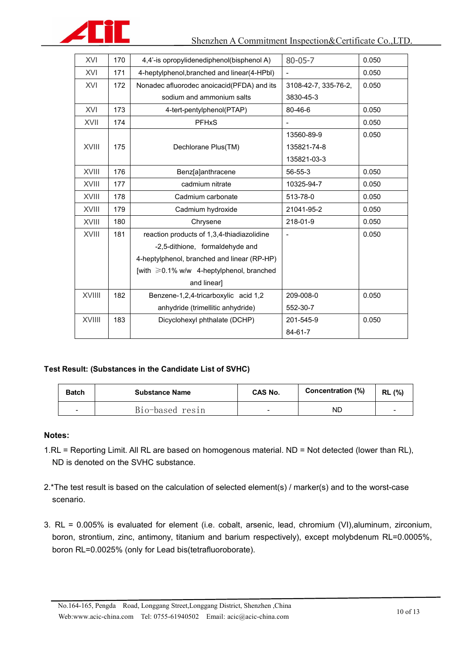

| XVI          | 170 | 4,4'-is opropylidenediphenol(bisphenol A)       | $80 - 05 - 7$        | 0.050 |
|--------------|-----|-------------------------------------------------|----------------------|-------|
| XVI          | 171 | 4-heptylphenol, branched and linear (4-HPbl)    |                      | 0.050 |
| XVI          | 172 | Nonadec afluorodec anoicacid(PFDA) and its      | 3108-42-7, 335-76-2, | 0.050 |
|              |     | sodium and ammonium salts                       | 3830-45-3            |       |
| XVI          | 173 | 4-tert-pentylphenol(PTAP)                       | 80-46-6              | 0.050 |
| XVII         | 174 | <b>PFHxS</b>                                    |                      | 0.050 |
|              |     |                                                 | 13560-89-9           | 0.050 |
| <b>XVIII</b> | 175 | Dechlorane Plus(TM)                             | 135821-74-8          |       |
|              |     |                                                 | 135821-03-3          |       |
| XVIII        | 176 | Benz[a]anthracene                               | 56-55-3              | 0.050 |
| XVIII        | 177 | cadmium nitrate                                 | 10325-94-7           | 0.050 |
| XVIII        | 178 | Cadmium carbonate                               | 513-78-0             | 0.050 |
| <b>XVIII</b> | 179 | Cadmium hydroxide                               | 21041-95-2           | 0.050 |
| <b>XVIII</b> | 180 | Chrysene                                        | 218-01-9             | 0.050 |
| XVIII        | 181 | reaction products of 1,3,4-thiadiazolidine      |                      | 0.050 |
|              |     | -2,5-dithione, formaldehyde and                 |                      |       |
|              |     | 4-heptylphenol, branched and linear (RP-HP)     |                      |       |
|              |     | [with $\geq 0.1\%$ w/w 4-heptylphenol, branched |                      |       |
|              |     | and linear]                                     |                      |       |
| XVIIII       | 182 | Benzene-1,2,4-tricarboxylic acid 1,2            | 209-008-0            | 0.050 |
|              |     | anhydride (trimellitic anhydride)               | 552-30-7             |       |
| XVIIII       | 183 | Dicyclohexyl phthalate (DCHP)                   | 201-545-9            | 0.050 |
|              |     |                                                 | 84-61-7              |       |

#### **Test Result: (Substances in the Candidate List of SVHC)**

| <b>Batch</b>             | <b>Substance Name</b> | CAS No.                  | Concentration (%) | <b>RL</b> (%) |
|--------------------------|-----------------------|--------------------------|-------------------|---------------|
| $\overline{\phantom{a}}$ | B1o-based res1n       | $\overline{\phantom{a}}$ | <b>ND</b>         |               |

#### **Notes:**

- 1.RL = Reporting Limit. All RL are based on homogenous material. ND = Not detected (lower than RL), ND is denoted on the SVHC substance.
- 2.\*The test result is based on the calculation of selected element(s) / marker(s) and to the worst-case scenario.
- 3. RL = 0.005% is evaluated for element (i.e. cobalt, arsenic, lead, chromium (VI),aluminum, zirconium, boron, strontium, zinc, antimony, titanium and barium respectively), except molybdenum RL=0.0005%, boron RL=0.0025% (only for Lead bis(tetrafluoroborate).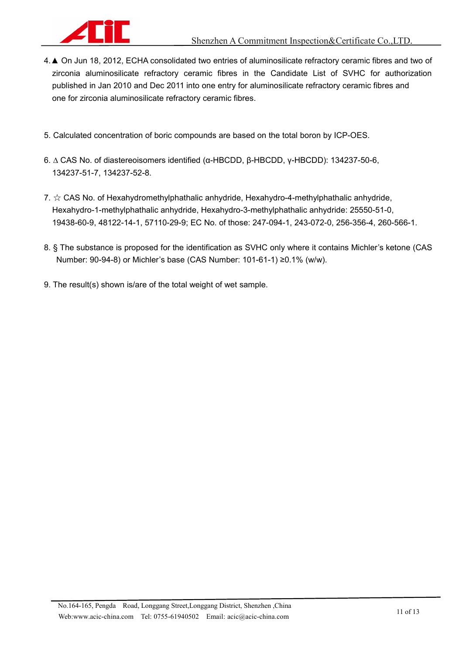

- 4.▲ On Jun 18, 2012, ECHA consolidated two entries of aluminosilicate refractory ceramic fibres and two of zirconia aluminosilicate refractory ceramic fibres in the Candidate List of SVHC for authorization published in Jan 2010 and Dec 2011 into one entry for aluminosilicate refractory ceramic fibres and one for zirconia aluminosilicate refractory ceramic fibres.
- 5. Calculated concentration of boric compounds are based on the total boron by ICP-OES.
- 6. ∆ CAS No. of diastereoisomers identified (α-HBCDD, β-HBCDD, γ-HBCDD): 134237-50-6, 134237-51-7, 134237-52-8.
- 7.  $\&$  CAS No. of Hexahydromethylphathalic anhydride, Hexahydro-4-methylphathalic anhydride, Hexahydro-1-methylphathalic anhydride, Hexahydro-3-methylphathalic anhydride: 25550-51-0, 19438-60-9, 48122-14-1, 57110-29-9; EC No. of those: 247-094-1, 243-072-0, 256-356-4, 260-566-1.
- 8. § The substance is proposed for the identification as SVHC only where it contains Michler's ketone (CAS Number: 90-94-8) or Michler's base (CAS Number: 101-61-1) ≥0.1% (w/w).
- 9. The result(s) shown is/are of the total weight of wet sample.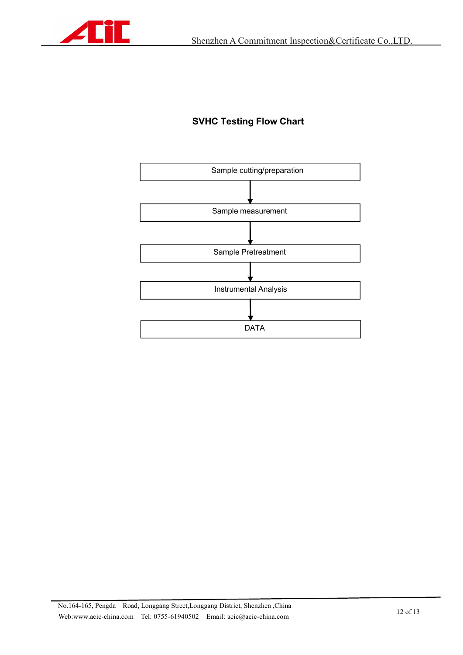

### **SVHC Testing Flow Chart**